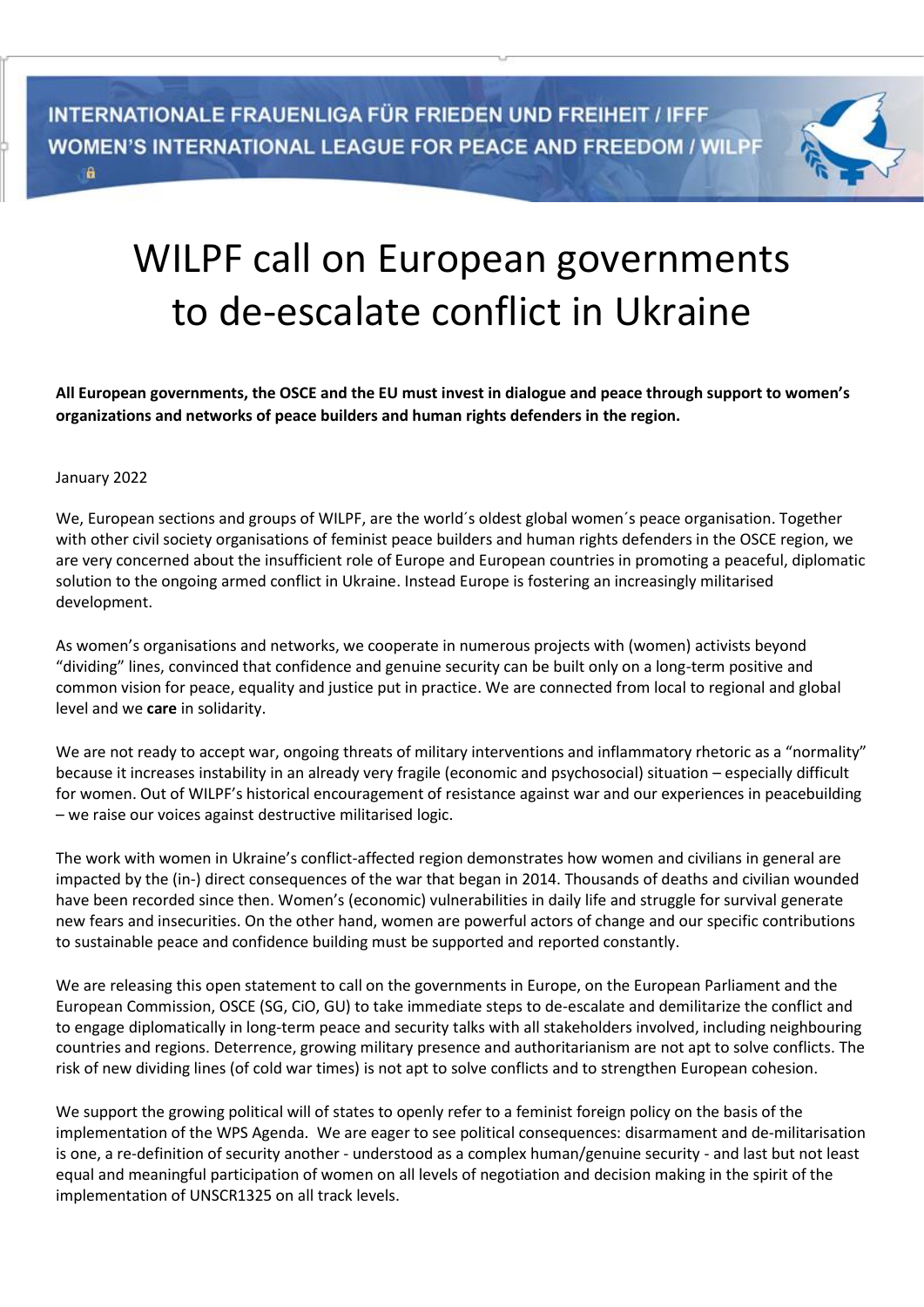

## WILPF call on European governments to de-escalate conflict in Ukraine

**All European governments, the OSCE and the EU must invest in dialogue and peace through support to women's organizations and networks of peace builders and human rights defenders in the region.**

## January 2022

We, European sections and groups of WILPF, are the world´s oldest global women´s peace organisation. Together with other civil society organisations of feminist peace builders and human rights defenders in the OSCE region, we are very concerned about the insufficient role of Europe and European countries in promoting a peaceful, diplomatic solution to the ongoing armed conflict in Ukraine. Instead Europe is fostering an increasingly militarised development.

As women's organisations and networks, we cooperate in numerous projects with (women) activists beyond "dividing" lines, convinced that confidence and genuine security can be built only on a long-term positive and common vision for peace, equality and justice put in practice. We are connected from local to regional and global level and we **care** in solidarity.

We are not ready to accept war, ongoing threats of military interventions and inflammatory rhetoric as a "normality" because it increases instability in an already very fragile (economic and psychosocial) situation – especially difficult for women. Out of WILPF's historical encouragement of resistance against war and our experiences in peacebuilding – we raise our voices against destructive militarised logic.

The work with women in Ukraine's conflict-affected region demonstrates how women and civilians in general are impacted by the (in-) direct consequences of the war that began in 2014. Thousands of deaths and civilian wounded have been recorded since then. Women's (economic) vulnerabilities in daily life and struggle for survival generate new fears and insecurities. On the other hand, women are powerful actors of change and our specific contributions to sustainable peace and confidence building must be supported and reported constantly.

We are releasing this open statement to call on the governments in Europe, on the European Parliament and the European Commission, OSCE (SG, CiO, GU) to take immediate steps to de-escalate and demilitarize the conflict and to engage diplomatically in long-term peace and security talks with all stakeholders involved, including neighbouring countries and regions. Deterrence, growing military presence and authoritarianism are not apt to solve conflicts. The risk of new dividing lines (of cold war times) is not apt to solve conflicts and to strengthen European cohesion.

We support the growing political will of states to openly refer to a feminist foreign policy on the basis of the implementation of the WPS Agenda. We are eager to see political consequences: disarmament and de-militarisation is one, a re-definition of security another - understood as a complex human/genuine security - and last but not least equal and meaningful participation of women on all levels of negotiation and decision making in the spirit of the implementation of UNSCR1325 on all track levels.